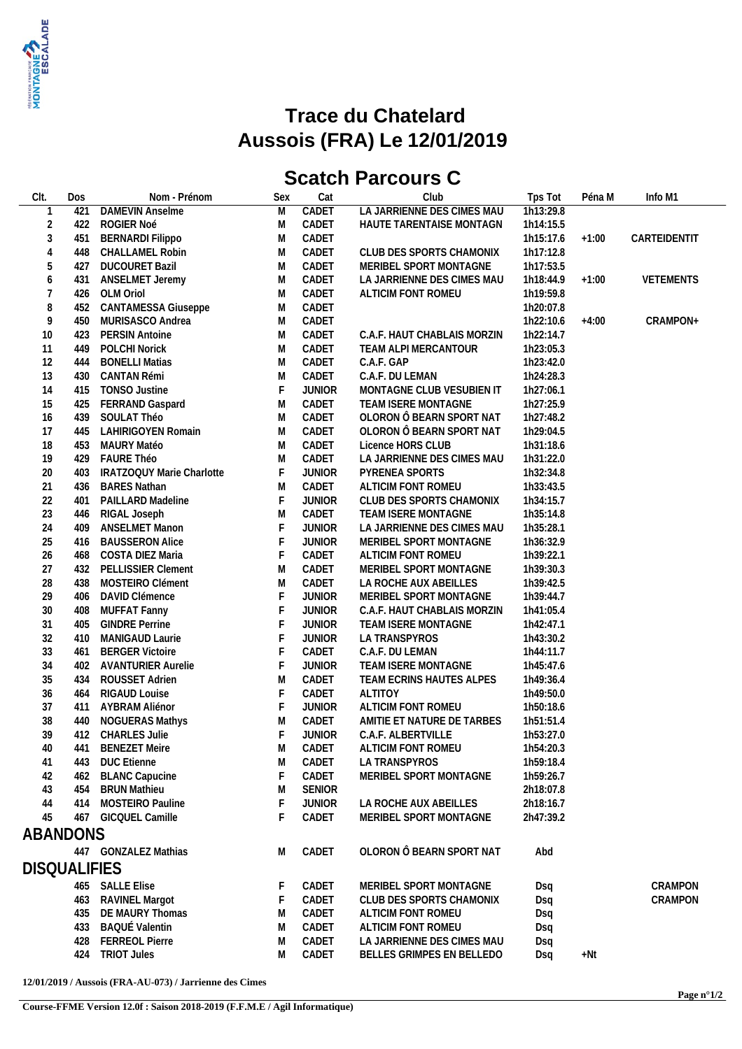

## **Trace du Chatelard Aussois (FRA) Le 12/01/2019**

## **Scatch Parcours C**

| CIt.                | Dos | Nom - Prénom              | Sex         | Cat           | Club                        | Tps Tot   | Péna M  | Info M1      |
|---------------------|-----|---------------------------|-------------|---------------|-----------------------------|-----------|---------|--------------|
|                     | 421 | <b>DAMEVIN Anselme</b>    | M           | CADET         | LA JARRIENNE DES CIMES MAU  | 1h13:29.8 |         |              |
| $\overline{2}$      | 422 | ROGIER Noé                | M           | CADET         | HAUTE TARENTAISE MONTAGN    | 1h14:15.5 |         |              |
| $\sqrt{3}$          | 451 | <b>BERNARDI Filippo</b>   | M           | CADET         |                             | 1h15:17.6 | $+1:00$ | CARTEIDENTIT |
| $\overline{4}$      | 448 | <b>CHALLAMEL Robin</b>    | M           | CADET         | CLUB DES SPORTS CHAMONIX    | 1h17:12.8 |         |              |
| 5                   | 427 | <b>DUCOURET Bazil</b>     | M           | CADET         | MERIBEL SPORT MONTAGNE      | 1h17:53.5 |         |              |
| $\boldsymbol{6}$    | 431 | ANSELMET Jeremy           | M           | CADET         | LA JARRIENNE DES CIMES MAU  | 1h18:44.9 | $+1:00$ | VETEMENTS    |
| $\overline{7}$      | 426 | OLM Oriol                 | M           | CADET         | ALTICIM FONT ROMEU          | 1h19:59.8 |         |              |
| 8                   | 452 | CANTAMESSA Giuseppe       | M           | CADET         |                             | 1h20:07.8 |         |              |
| 9                   | 450 | MURISASCO Andrea          |             | CADET         |                             | 1h22:10.6 | $+4:00$ | CRAMPON+     |
|                     |     |                           | M           |               |                             |           |         |              |
| 10                  | 423 | <b>PERSIN Antoine</b>     | M           | CADET         | C.A.F. HAUT CHABLAIS MORZIN | 1h22:14.7 |         |              |
| 11                  | 449 | <b>POLCHI Norick</b>      | M           | CADET         | TEAM ALPI MERCANTOUR        | 1h23:05.3 |         |              |
| 12                  | 444 | <b>BONELLI Matias</b>     | M           | CADET         | C.A.F. GAP                  | 1h23:42.0 |         |              |
| 13                  | 430 | CANTAN Rémi               | M           | CADET         | C.A.F. DU LEMAN             | 1h24:28.3 |         |              |
| 14                  | 415 | <b>TONSO Justine</b>      | F           | <b>JUNIOR</b> | MONTAGNE CLUB VESUBIEN IT   | 1h27:06.1 |         |              |
| 15                  | 425 | FERRAND Gaspard           | M           | CADET         | TEAM ISERE MONTAGNE         | 1h27:25.9 |         |              |
| 16                  | 439 | SOULAT Théo               | M           | CADET         | OLORON Ô BEARN SPORT NAT    | 1h27:48.2 |         |              |
| 17                  | 445 | LAHIRIGOYEN Romain        | M           | CADET         | OLORON Ô BEARN SPORT NAT    | 1h29:04.5 |         |              |
| 18                  | 453 | MAURY Matéo               | M           | CADET         | Licence HORS CLUB           | 1h31:18.6 |         |              |
| 19                  | 429 | FAURE Théo                | M           | CADET         | LA JARRIENNE DES CIMES MAU  | 1h31:22.0 |         |              |
| 20                  | 403 | IRATZOQUY Marie Charlotte | F           | <b>JUNIOR</b> | PYRENEA SPORTS              | 1h32:34.8 |         |              |
| 21                  | 436 | <b>BARES Nathan</b>       | M           | CADET         | ALTICIM FONT ROMEU          | 1h33:43.5 |         |              |
| 22                  | 401 | PAILLARD Madeline         | F           | <b>JUNIOR</b> | CLUB DES SPORTS CHAMONIX    | 1h34:15.7 |         |              |
| 23                  | 446 | RIGAL Joseph              | M           | CADET         | TEAM ISERE MONTAGNE         | 1h35:14.8 |         |              |
| 24                  | 409 | <b>ANSELMET Manon</b>     | $\mathsf F$ | <b>JUNIOR</b> | LA JARRIENNE DES CIMES MAU  | 1h35:28.1 |         |              |
| 25                  | 416 | <b>BAUSSERON Alice</b>    | $\mathsf F$ | <b>JUNIOR</b> | MERIBEL SPORT MONTAGNE      | 1h36:32.9 |         |              |
| 26                  | 468 | COSTA DIEZ Maria          | $\mathsf F$ | CADET         | ALTICIM FONT ROMEU          | 1h39:22.1 |         |              |
| 27                  | 432 | PELLISSIER Clement        | M           | CADET         | MERIBEL SPORT MONTAGNE      | 1h39:30.3 |         |              |
| 28                  | 438 | MOSTEIRO Clément          | M           | CADET         | LA ROCHE AUX ABEILLES       | 1h39:42.5 |         |              |
| 29                  | 406 | DAVID Clémence            | $\mathsf F$ | <b>JUNIOR</b> | MERIBEL SPORT MONTAGNE      | 1h39:44.7 |         |              |
| 30                  | 408 | MUFFAT Fanny              | $\mathsf F$ | <b>JUNIOR</b> | C.A.F. HAUT CHABLAIS MORZIN | 1h41:05.4 |         |              |
| 31                  | 405 | <b>GINDRE Perrine</b>     | $\mathsf F$ | <b>JUNIOR</b> | TEAM ISERE MONTAGNE         | 1h42:47.1 |         |              |
| 32                  | 410 | MANIGAUD Laurie           | $\mathsf F$ | <b>JUNIOR</b> | LA TRANSPYROS               | 1h43:30.2 |         |              |
| 33                  | 461 | <b>BERGER Victoire</b>    | F           | CADET         | C.A.F. DU LEMAN             | 1h44:11.7 |         |              |
| 34                  | 402 | <b>AVANTURIER Aurelie</b> | $\mathsf F$ | <b>JUNIOR</b> | TEAM ISERE MONTAGNE         | 1h45:47.6 |         |              |
| 35                  | 434 | ROUSSET Adrien            | M           | CADET         | TEAM ECRINS HAUTES ALPES    | 1h49:36.4 |         |              |
| 36                  | 464 | <b>RIGAUD Louise</b>      | F           | CADET         | <b>ALTITOY</b>              | 1h49:50.0 |         |              |
| 37                  | 411 | AYBRAM Aliénor            | $\mathsf F$ | <b>JUNIOR</b> | ALTICIM FONT ROMEU          | 1h50:18.6 |         |              |
| 38                  |     | 440 NOGUERAS Mathys       |             | CADET         | AMITIE ET NATURE DE TARBES  |           |         |              |
| 39                  |     |                           | M<br>F      |               |                             | 1h51:51.4 |         |              |
|                     |     | 412 CHARLES Julie         |             | <b>JUNIOR</b> | C.A.F. ALBERTVILLE          | 1h53:27.0 |         |              |
| 40                  |     | 441 BENEZET Meire         | M           | CADET         | ALTICIM FONT ROMEU          | 1h54:20.3 |         |              |
| 41                  |     | 443 DUC Etienne           | M           | CADET         | LA TRANSPYROS               | 1h59:18.4 |         |              |
| 42                  | 462 | <b>BLANC Capucine</b>     |             | CADET         | MERIBEL SPORT MONTAGNE      | 1h59:26.7 |         |              |
| 43                  | 454 | <b>BRUN Mathieu</b>       | M           | SENIOR        |                             | 2h18:07.8 |         |              |
| 44                  | 414 | MOSTEIRO Pauline          | F           | <b>JUNIOR</b> | LA ROCHE AUX ABEILLES       | 2h18:16.7 |         |              |
| 45                  |     | 467 GICQUEL Camille       |             | CADET         | MERIBEL SPORT MONTAGNE      | 2h47:39.2 |         |              |
| ABANDONS            |     |                           |             |               |                             |           |         |              |
|                     |     | 447 GONZALEZ Mathias      | M           | CADET         | OLORON Ô BEARN SPORT NAT    | Abd       |         |              |
|                     |     |                           |             |               |                             |           |         |              |
| <b>DISQUALIFIES</b> |     |                           |             |               |                             |           |         |              |
|                     |     | 465 SALLE Elise           |             | CADET         | MERIBEL SPORT MONTAGNE      | Dsq       |         | CRAMPON      |
|                     |     | 463 RAVINEL Margot        |             | CADET         | CLUB DES SPORTS CHAMONIX    | Dsq       |         | CRAMPON      |
|                     |     | 435 DE MAURY Thomas       | M           | CADET         | ALTICIM FONT ROMEU          | Dsq       |         |              |
|                     | 433 | <b>BAQUÉ Valentin</b>     | M           | CADET         | ALTICIM FONT ROMEU          | Dsq       |         |              |
|                     | 428 | <b>FERREOL Pierre</b>     | M           | CADET         | LA JARRIENNE DES CIMES MAU  | Dsq       |         |              |
|                     | 424 | <b>TRIOT Jules</b>        | M           | CADET         | BELLES GRIMPES EN BELLEDO   | Dsq       | +Nt     |              |
|                     |     |                           |             |               |                             |           |         |              |

**12/01/2019 / Aussois (FRA-AU-073) / Jarrienne des Cimes**